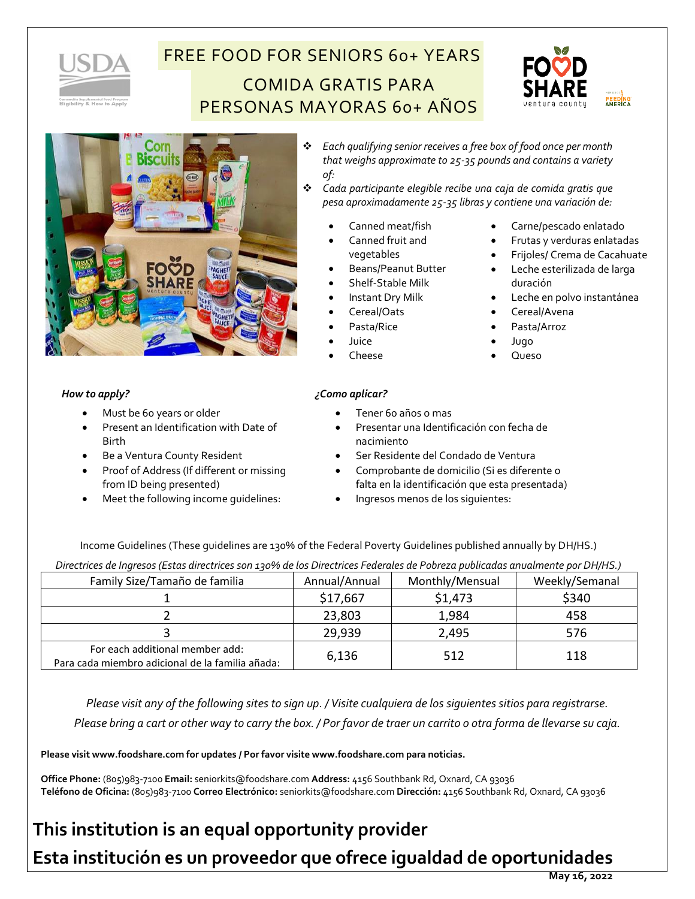

# FREE FOOD FOR SENIORS 60+ YEARS COMIDA GRATIS PARA PERSONAS MAYORAS 60+ AÑOS



• Frijoles/ Crema de Cacahuate • Leche esterilizada de larga

• Leche en polvo instantánea



### *How to apply?*

- Must be 60 years or older
- Present an Identification with Date of Birth
- Be a Ventura County Resident
- Proof of Address (If different or missing from ID being presented)
- Meet the following income guidelines:
- ❖ *Each qualifying senior receives a free box of food once per month that weighs approximate to 25-35 pounds and contains a variety of:*
- ❖ *Cada participante elegible recibe una caja de comida gratis que pesa aproximadamente 25-35 libras y contiene una variación de:*
	- Canned meat/fish
	- Canned fruit and vegetables
	- - Shelf-Stable Milk
	-
	- Cereal/Oats
	- Pasta/Rice
	-
	- Cheese

### *¿Como aplicar?*

- Tener 60 años o mas
- Presentar una Identificación con fecha de nacimiento
- Ser Residente del Condado de Ventura
- Comprobante de domicilio (Si es diferente o falta en la identificación que esta presentada)
- Ingresos menos de los siguientes:

Income Guidelines (These guidelines are 130% of the Federal Poverty Guidelines published annually by DH/HS.)

*Directrices de Ingresos (Estas directrices son 130% de los Directrices Federales de Pobreza publicadas anualmente por DH/HS.)*

| Family Size/Tamaño de familia                                                       | Annual/Annual | Monthly/Mensual | Weekly/Semanal |
|-------------------------------------------------------------------------------------|---------------|-----------------|----------------|
|                                                                                     | \$17,667      | \$1,473         | \$340          |
|                                                                                     | 23,803        | 1,984           | 458            |
|                                                                                     | 29,939        | 2,495           | 576            |
| For each additional member add:<br>Para cada miembro adicional de la familia añada: | 6,136         | 512             | 118            |

*Please visit any of the following sites to sign up. / Visite cualquiera de los siguientes sitios para registrarse. Please bring a cart or other way to carry the box. / Por favor de traer un carrito o otra forma de llevarse su caja.*

**Please visit www.foodshare.com for updates / Por favor visite www.foodshare.com para noticias.**

**Office Phone:** (805)983-7100 **Email:** seniorkits@foodshare.com **Address:** 4156 Southbank Rd, Oxnard, CA 93036 **Teléfono de Oficina:** (805)983-7100 **Correo Electrónico:** seniorkits@foodshare.com **Dirección:** 4156 Southbank Rd, Oxnard, CA 93036

## **This institution is an equal opportunity provider**

**Esta institución es un proveedor que ofrece igualdad de oportunidades**

#### **May 16, 2022**

duración

• Cereal/Avena • Pasta/Arroz • Jugo • Queso

- - Carne/pescado enlatado • Frutas y verduras enlatadas
	-
	- Beans/Peanut Butter
		-
		- Instant Dry Milk
	-
	- - Juice